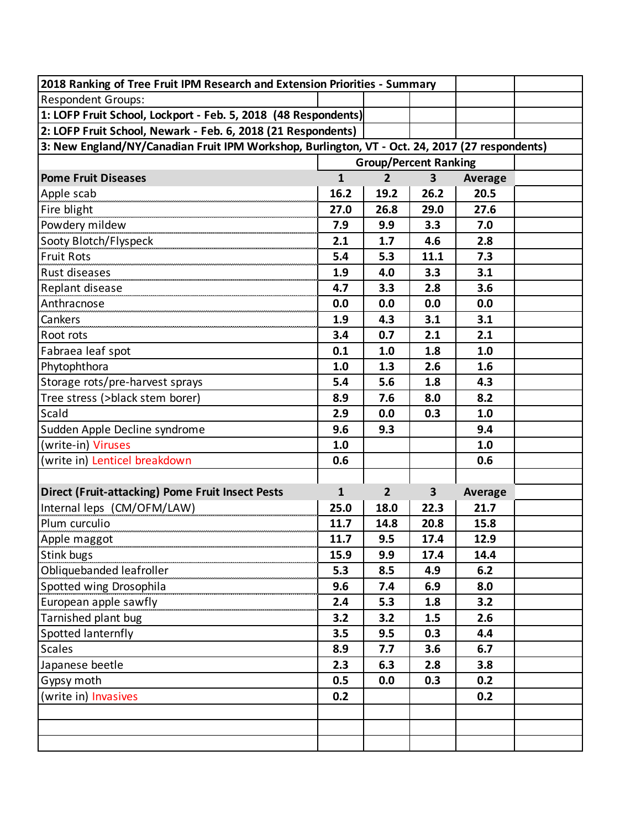| 2018 Ranking of Tree Fruit IPM Research and Extension Priorities - Summary                     |              |                |                              |                |  |  |
|------------------------------------------------------------------------------------------------|--------------|----------------|------------------------------|----------------|--|--|
| <b>Respondent Groups:</b>                                                                      |              |                |                              |                |  |  |
| 1: LOFP Fruit School, Lockport - Feb. 5, 2018 (48 Respondents)                                 |              |                |                              |                |  |  |
| 2: LOFP Fruit School, Newark - Feb. 6, 2018 (21 Respondents)                                   |              |                |                              |                |  |  |
| 3: New England/NY/Canadian Fruit IPM Workshop, Burlington, VT - Oct. 24, 2017 (27 respondents) |              |                |                              |                |  |  |
|                                                                                                |              |                | <b>Group/Percent Ranking</b> |                |  |  |
| <b>Pome Fruit Diseases</b>                                                                     | $\mathbf{1}$ | $\overline{2}$ | $\overline{\mathbf{3}}$      | <b>Average</b> |  |  |
| Apple scab                                                                                     | 16.2         | 19.2           | 26.2                         | 20.5           |  |  |
| Fire blight                                                                                    | 27.0         | 26.8           | 29.0                         | 27.6           |  |  |
| Powdery mildew                                                                                 | 7.9          | 9.9            | 3.3                          | 7.0            |  |  |
| Sooty Blotch/Flyspeck                                                                          | 2.1          | 1.7            | 4.6                          | 2.8            |  |  |
| <b>Fruit Rots</b>                                                                              | 5.4          | 5.3            | 11.1                         | 7.3            |  |  |
| Rust diseases                                                                                  | 1.9          | 4.0            | 3.3                          | 3.1            |  |  |
| Replant disease                                                                                | 4.7          | 3.3            | 2.8                          | 3.6            |  |  |
| Anthracnose                                                                                    | 0.0          | 0.0            | 0.0                          | 0.0            |  |  |
| Cankers                                                                                        | 1.9          | 4.3            | 3.1                          | 3.1            |  |  |
| Root rots                                                                                      | 3.4          | 0.7            | 2.1                          | 2.1            |  |  |
| Fabraea leaf spot                                                                              | 0.1          | 1.0            | 1.8                          | 1.0            |  |  |
| Phytophthora                                                                                   | 1.0          | 1.3            | 2.6                          | 1.6            |  |  |
| Storage rots/pre-harvest sprays                                                                | 5.4          | 5.6            | 1.8                          | 4.3            |  |  |
| Tree stress (>black stem borer)                                                                | 8.9          | 7.6            | 8.0                          | 8.2            |  |  |
| Scald                                                                                          | 2.9          | 0.0            | 0.3                          | 1.0            |  |  |
| Sudden Apple Decline syndrome                                                                  | 9.6          | 9.3            |                              | 9.4            |  |  |
| (write-in) Viruses                                                                             | 1.0          |                |                              | 1.0            |  |  |
| (write in) Lenticel breakdown                                                                  | 0.6          |                |                              | 0.6            |  |  |
|                                                                                                |              |                |                              |                |  |  |
| <b>Direct (Fruit-attacking) Pome Fruit Insect Pests</b>                                        | $\mathbf{1}$ | $\overline{2}$ | $\overline{\mathbf{3}}$      | Average        |  |  |
| Internal leps (CM/OFM/LAW)                                                                     | 25.0         | 18.0           | 22.3                         | 21.7           |  |  |
| Plum curculio                                                                                  | 11.7         | 14.8           | 20.8                         | 15.8           |  |  |
| Apple maggot                                                                                   | 11.7         | 9.5            | 17.4                         | 12.9           |  |  |
| <b>Stink bugs</b>                                                                              | 15.9         | 9.9            | 17.4                         | 14.4           |  |  |
| Obliquebanded leafroller                                                                       | 5.3          | 8.5            | 4.9                          | 6.2            |  |  |
| Spotted wing Drosophila                                                                        | 9.6          | 7.4            | 6.9                          | 8.0            |  |  |
| European apple sawfly                                                                          | 2.4          | 5.3            | 1.8                          | 3.2            |  |  |
| Tarnished plant bug                                                                            | 3.2          | 3.2            | 1.5                          | 2.6            |  |  |
| Spotted lanternfly                                                                             | 3.5          | 9.5            | 0.3                          | 4.4            |  |  |
| <b>Scales</b>                                                                                  | 8.9          | 7.7            | 3.6                          | 6.7            |  |  |
| Japanese beetle                                                                                | 2.3          | 6.3            | 2.8                          | 3.8            |  |  |
| Gypsy moth                                                                                     | 0.5          | 0.0            | 0.3                          | 0.2            |  |  |
| (write in) Invasives                                                                           | 0.2          |                |                              | 0.2            |  |  |
|                                                                                                |              |                |                              |                |  |  |
|                                                                                                |              |                |                              |                |  |  |
|                                                                                                |              |                |                              |                |  |  |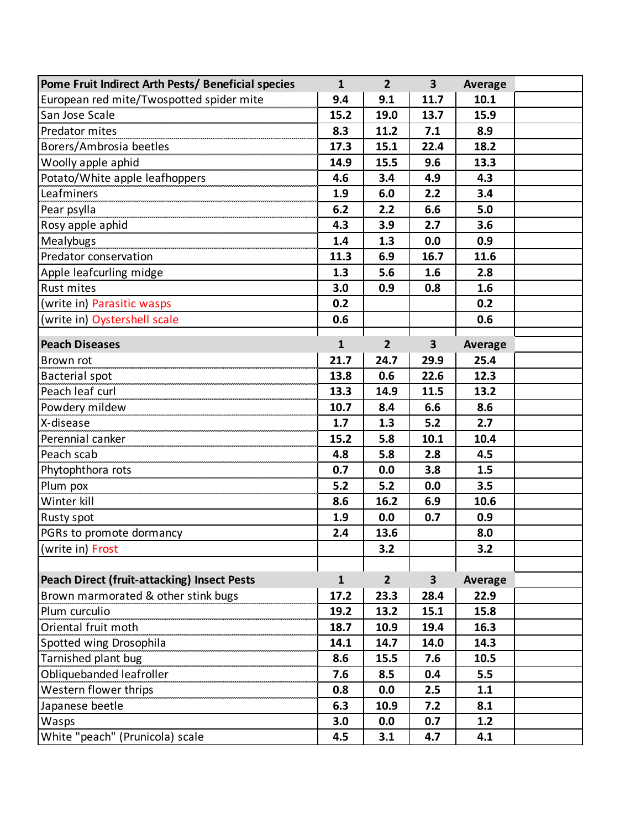| Pome Fruit Indirect Arth Pests/ Beneficial species | $\mathbf{1}$ | $\overline{2}$ | $\overline{\mathbf{3}}$ | Average        |  |
|----------------------------------------------------|--------------|----------------|-------------------------|----------------|--|
| European red mite/Twospotted spider mite           | 9.4          | 9.1            | 11.7                    | 10.1           |  |
| San Jose Scale                                     | 15.2         | 19.0           | 13.7                    | 15.9           |  |
| Predator mites                                     | 8.3          | 11.2           | 7.1                     | 8.9            |  |
| Borers/Ambrosia beetles                            | 17.3         | 15.1           | 22.4                    | 18.2           |  |
| Woolly apple aphid                                 | 14.9         | 15.5           | 9.6                     | 13.3           |  |
| Potato/White apple leafhoppers                     | 4.6          | 3.4            | 4.9                     | 4.3            |  |
| Leafminers                                         | 1.9          | 6.0            | 2.2                     | 3.4            |  |
| Pear psylla                                        | 6.2          | 2.2            | 6.6                     | 5.0            |  |
| Rosy apple aphid                                   | 4.3          | 3.9            | 2.7                     | 3.6            |  |
| Mealybugs                                          | 1.4          | 1.3            | 0.0                     | 0.9            |  |
| Predator conservation                              | 11.3         | 6.9            | 16.7                    | 11.6           |  |
| Apple leafcurling midge                            | 1.3          | 5.6            | 1.6                     | 2.8            |  |
| <b>Rust mites</b>                                  | 3.0          | 0.9            | 0.8                     | 1.6            |  |
| (write in) Parasitic wasps                         | 0.2          |                |                         | 0.2            |  |
| (write in) Oystershell scale                       | 0.6          |                |                         | 0.6            |  |
| <b>Peach Diseases</b>                              | $\mathbf{1}$ | $\overline{2}$ | $\overline{\mathbf{3}}$ | <b>Average</b> |  |
| Brown rot                                          | 21.7         | 24.7           | 29.9                    | 25.4           |  |
| Bacterial spot                                     | 13.8         | 0.6            | 22.6                    | 12.3           |  |
| Peach leaf curl                                    | 13.3         | 14.9           | 11.5                    | 13.2           |  |
|                                                    | 10.7         | 8.4            | 6.6                     | 8.6            |  |
| X-disease                                          | 1.7          | 1.3            | 5.2                     | 2.7            |  |
| Perennial canker                                   | 15.2         | 5.8            | 10.1                    | 10.4           |  |
| Peach scab                                         | 4.8          | 5.8            | 2.8                     | 4.5            |  |
|                                                    | 0.7          | 0.0            | 3.8                     | 1.5            |  |
| Phytophthora rots<br>Plum pox                      | 5.2          | 5.2            | 0.0                     | 3.5            |  |
| Winter kill                                        | 8.6          | 16.2           | 6.9                     | 10.6           |  |
| Rusty spot                                         | 1.9          | 0.0            | 0.7                     | 0.9            |  |
| PGRs to promote dormancy                           | 2.4          | 13.6           |                         | 8.0            |  |
| (write in) Frost                                   |              | 3.2            |                         | 3.2            |  |
|                                                    |              |                |                         |                |  |
| <b>Peach Direct (fruit-attacking) Insect Pests</b> | $\mathbf{1}$ | $\overline{2}$ | $\overline{\mathbf{3}}$ | Average        |  |
| Brown marmorated & other stink bugs                | 17.2         | 23.3           | 28.4                    | 22.9           |  |
| Plum curculio                                      | 19.2         | 13.2           | 15.1                    | 15.8           |  |
| Oriental fruit moth                                | 18.7         | 10.9           | 19.4                    | 16.3           |  |
| Spotted wing Drosophila                            | 14.1         | 14.7           | 14.0                    | 14.3           |  |
| Tarnished plant bug                                | 8.6          | 15.5           | 7.6                     | 10.5           |  |
| Obliquebanded leafroller                           | 7.6          | 8.5            | 0.4                     | 5.5            |  |
| Western flower thrips                              | 0.8          | 0.0            | 2.5                     | 1.1            |  |
| Japanese beetle                                    | 6.3          | 10.9           | 7.2                     | 8.1            |  |
| Wasps                                              | 3.0          | 0.0            | 0.7                     | 1.2            |  |
| White "peach" (Prunicola) scale                    | 4.5          | 3.1            | 4.7                     | 4.1            |  |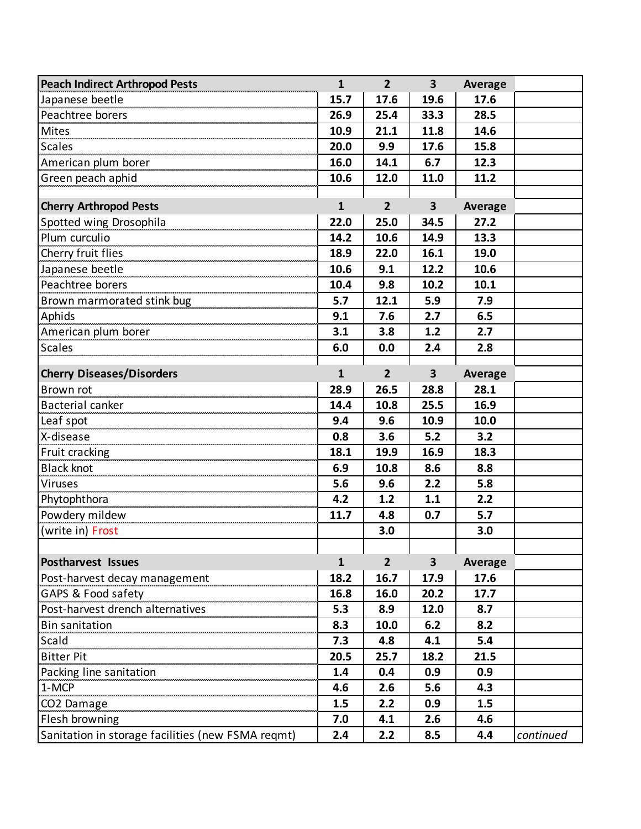| <b>Peach Indirect Arthropod Pests</b>             | $\mathbf{1}$ | $\overline{2}$ | $\overline{\mathbf{3}}$ | <b>Average</b> |           |
|---------------------------------------------------|--------------|----------------|-------------------------|----------------|-----------|
| Japanese beetle                                   | 15.7         | 17.6           | 19.6                    | 17.6           |           |
| Peachtree borers                                  | 26.9         | 25.4           | 33.3                    | 28.5           |           |
| <b>Mites</b>                                      | 10.9         | 21.1           | 11.8                    | 14.6           |           |
| <b>Scales</b>                                     | 20.0         | 9.9            | 17.6                    | 15.8           |           |
| American plum borer                               | 16.0         | 14.1           | 6.7                     | 12.3           |           |
| Green peach aphid                                 | 10.6         | 12.0           | 11.0                    | 11.2           |           |
|                                                   |              |                |                         |                |           |
| <b>Cherry Arthropod Pests</b>                     | $\mathbf{1}$ | $\overline{2}$ | $\overline{\mathbf{3}}$ | <b>Average</b> |           |
| Spotted wing Drosophila                           | 22.0         | 25.0           | 34.5                    | 27.2           |           |
| Plum curculio                                     | 14.2         | 10.6           | 14.9                    | 13.3           |           |
| Cherry fruit flies                                | 18.9         | 22.0           | 16.1                    | 19.0           |           |
| Japanese beetle                                   | 10.6         | 9.1            | 12.2                    | 10.6           |           |
| Peachtree borers                                  | 10.4         | 9.8            | 10.2                    | 10.1           |           |
| Brown marmorated stink bug                        | 5.7          | 12.1           | 5.9                     | 7.9            |           |
| Aphids                                            | 9.1          | 7.6            | 2.7                     | 6.5            |           |
|                                                   | 3.1          | 3.8            | 1.2                     | 2.7            |           |
| <b>Scales</b>                                     | 6.0          | 0.0            | 2.4                     | 2.8            |           |
|                                                   |              |                |                         |                |           |
| <b>Cherry Diseases/Disorders</b>                  | $\mathbf{1}$ | $\overline{2}$ | 3                       | Average        |           |
| Brown rot                                         | 28.9         | 26.5           | 28.8                    | 28.1           |           |
| Bacterial canker                                  | 14.4         | 10.8           | 25.5                    | 16.9           |           |
| Leaf spot                                         | 9.4          | 9.6            | 10.9                    | 10.0           |           |
| X-disease                                         | 0.8          | 3.6            | 5.2                     | 3.2            |           |
| Fruit cracking                                    | 18.1         | 19.9           | 16.9                    | 18.3           |           |
| <b>Black knot</b>                                 | 6.9          | 10.8           | 8.6                     | 8.8            |           |
| <b>Viruses</b>                                    | 5.6          | 9.6            | 2.2                     | 5.8            |           |
| Phytophthora                                      | 4.2          | 1.2            | 1.1                     | 2.2            |           |
| Powdery mildew                                    | 11.7         | 4.8            | 0.7                     | 5.7            |           |
| (write in) Frost                                  |              | 3.0            |                         | 3.0            |           |
|                                                   |              |                |                         |                |           |
| <b>Postharvest Issues</b>                         | 1            | $\overline{2}$ | 3                       | Average        |           |
| Post-harvest decay management                     | 18.2         | 16.7           | 17.9                    | 17.6           |           |
| GAPS & Food safety                                | 16.8         | 16.0           | 20.2                    | 17.7           |           |
| Post-harvest drench alternatives                  | 5.3          | 8.9            | 12.0                    | 8.7            |           |
| <b>Bin sanitation</b>                             | 8.3          | 10.0           | 6.2                     | 8.2            |           |
| Scald                                             | 7.3          | 4.8            | 4.1                     | 5.4            |           |
| <b>Bitter Pit</b>                                 | 20.5         | 25.7           | 18.2                    | 21.5           |           |
| Packing line sanitation                           | 1.4          | 0.4            | 0.9                     | 0.9            |           |
| 1-MCP                                             | 4.6          | 2.6            | 5.6                     | 4.3            |           |
| CO2 Damage                                        | 1.5          | 2.2            | 0.9                     | 1.5            |           |
| Flesh browning                                    | 7.0          | 4.1            | 2.6                     | 4.6            |           |
| Sanitation in storage facilities (new FSMA reqmt) | 2.4          | 2.2            | 8.5                     | 4.4            | continued |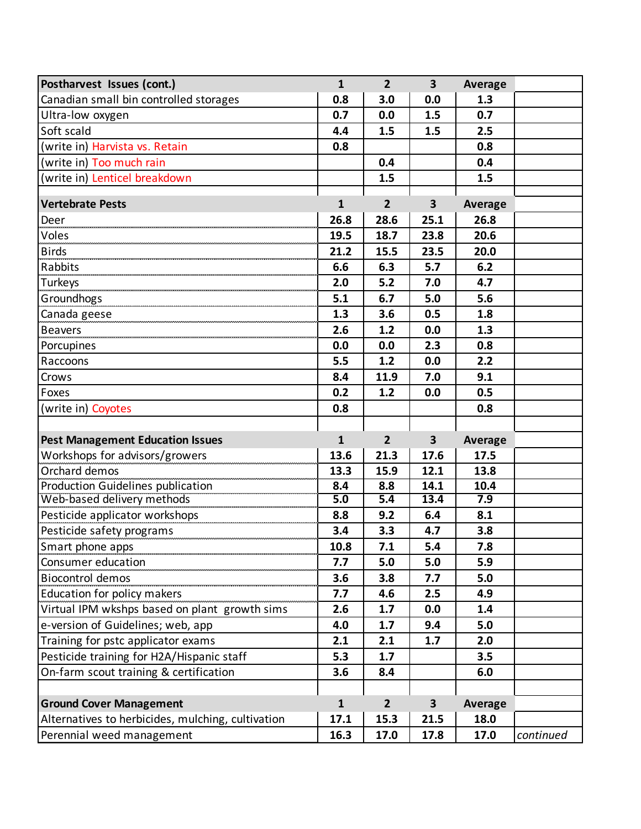| Postharvest Issues (cont.)                                      | $\mathbf{1}$ | $\overline{2}$ | $\overline{\mathbf{3}}$ | <b>Average</b> |           |
|-----------------------------------------------------------------|--------------|----------------|-------------------------|----------------|-----------|
| Canadian small bin controlled storages                          | 0.8          | 3.0            | 0.0                     | 1.3            |           |
| Ultra-low oxygen                                                | 0.7          | 0.0            | 1.5                     | 0.7            |           |
| Soft scald                                                      | 4.4          | 1.5            | 1.5                     | 2.5            |           |
| (write in) Harvista vs. Retain                                  | 0.8          |                |                         | 0.8            |           |
| (write in) Too much rain                                        |              | 0.4            |                         | 0.4            |           |
| (write in) Lenticel breakdown                                   |              | 1.5            |                         | 1.5            |           |
|                                                                 |              |                |                         |                |           |
| <b>Vertebrate Pests</b>                                         | 1            | $\overline{2}$ | $\overline{\mathbf{3}}$ | <b>Average</b> |           |
| Deer                                                            | 26.8         | 28.6           | 25.1                    | 26.8           |           |
| <b>Voles</b>                                                    | 19.5         | 18.7           | 23.8                    | 20.6           |           |
| <b>Birds</b>                                                    | 21.2         | 15.5           | 23.5                    | 20.0           |           |
| Rabbits                                                         | 6.6          | 6.3            | 5.7                     | 6.2            |           |
| Turkeys                                                         | 2.0          | 5.2            | 7.0                     | 4.7            |           |
| Groundhogs                                                      | 5.1          | 6.7            | 5.0                     | 5.6            |           |
| Canada geese <b>www.marganage.org</b>                           | 1.3          | 3.6            | 0.5                     | 1.8            |           |
| <b>Beavers</b>                                                  | 2.6          | 1.2            | 0.0                     | 1.3            |           |
| Porcupines                                                      | 0.0          | 0.0            | 2.3                     | 0.8            |           |
| Raccoons                                                        | 5.5          | 1.2            | 0.0                     | 2.2            |           |
| Crows                                                           | 8.4          | 11.9           | 7.0                     | 9.1            |           |
| Foxes                                                           | 0.2          | 1.2            | 0.0                     | 0.5            |           |
| (write in) Coyotes                                              | 0.8          |                |                         | 0.8            |           |
|                                                                 |              |                |                         |                |           |
| <b>Pest Management Education Issues</b>                         | 1            | $\overline{2}$ | $\overline{\mathbf{3}}$ | <b>Average</b> |           |
| Workshops for advisors/growers                                  | 13.6         | 21.3           | 17.6                    | 17.5           |           |
| Orchard demos                                                   | 13.3         | 15.9           | 12.1                    | 13.8           |           |
| Production Guidelines publication                               | 8.4          | 8.8            | 14.1                    | 10.4           |           |
| Web-based delivery methods                                      | 5.0          | 5.4            | 13.4                    | 7.9            |           |
| Pesticide applicator workshops<br>exticide applicator workshops | 8.8          | 9.2            | 6.4                     | 8.1            |           |
| Pesticide safety programs                                       | 3.4          | 3.3            | 4.7                     | 3.8            |           |
| Smart phone apps                                                | 10.8         | 7.1            | 5.4                     | 7.8            |           |
| Consumer education                                              | 7.7          | 5.0            | 5.0                     | 5.9            |           |
| Biocontrol demos                                                | 3.6          | 3.8            | 7.7                     | 5.0            |           |
| Education for policy makers                                     | 7.7          | 4.6            | 2.5                     | 4.9            |           |
| Virtual IPM wkshps based on plant growth sims                   | 2.6          | 1.7            | 0.0                     | 1.4            |           |
| e-version of Guidelines; web, app                               | 4.0          | 1.7            | 9.4                     | 5.0            |           |
| Training for pstc applicator exams                              | 2.1          | 2.1            | 1.7                     | 2.0            |           |
| Pesticide training for H2A/Hispanic staff                       | 5.3          | 1.7            |                         | 3.5            |           |
| On-farm scout training & certification                          | 3.6          | 8.4            |                         | 6.0            |           |
|                                                                 |              |                |                         |                |           |
| <b>Ground Cover Management</b>                                  | $\mathbf{1}$ | $\overline{2}$ | 3                       | <b>Average</b> |           |
| Alternatives to herbicides, mulching, cultivation               | 17.1         | 15.3           | 21.5                    | 18.0           |           |
| Perennial weed management                                       | 16.3         | 17.0           | 17.8                    | 17.0           | continued |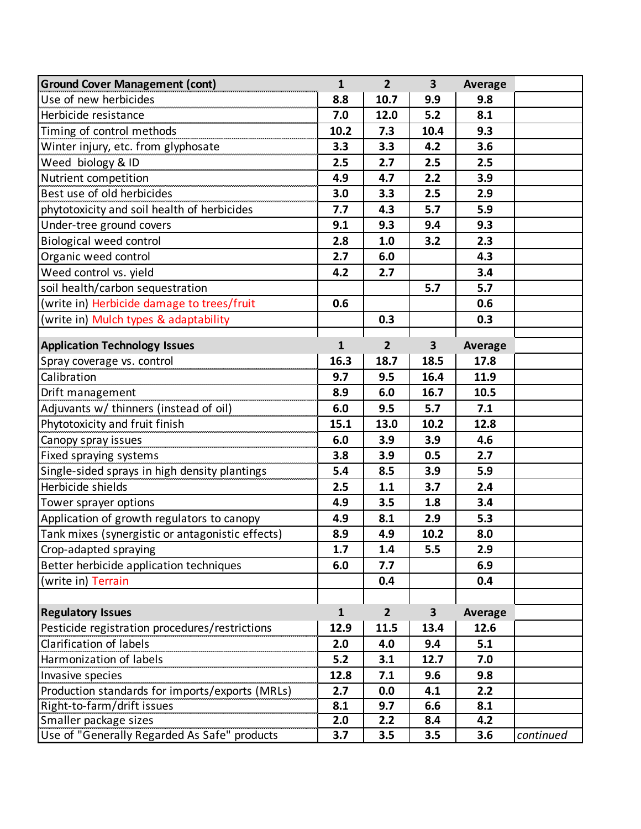| <b>Ground Cover Management (cont)</b>                                   | $\mathbf{1}$ | $\overline{2}$ | 3                       | <b>Average</b> |           |
|-------------------------------------------------------------------------|--------------|----------------|-------------------------|----------------|-----------|
| Use of new herbicides                                                   | 8.8          | 10.7           | 9.9                     | 9.8            |           |
| Herbicide resistance                                                    | 7.0          | 12.0           | 5.2                     | 8.1            |           |
| Timing of control methods                                               | 10.2         | 7.3            | 10.4                    | 9.3            |           |
| Winter injury, etc. from glyphosate                                     | 3.3          | 3.3            | 4.2                     | 3.6            |           |
| Weed biology & ID                                                       | 2.5          | 2.7            | 2.5                     | 2.5            |           |
| Nutrient competition                                                    | 4.9          | 4.7            | 2.2                     | 3.9            |           |
| Best use of old herbicides                                              | 3.0          | 3.3            | 2.5                     | 2.9            |           |
| phytotoxicity and soil health of herbicides                             | 7.7          | 4.3            | 5.7                     | 5.9            |           |
| Under-tree ground covers                                                | 9.1          | 9.3            | 9.4                     | 9.3            |           |
| <b>Biological weed control</b>                                          | 2.8          | 1.0            | 3.2                     | 2.3            |           |
| Organic weed control                                                    | 2.7          | 6.0            |                         | 4.3            |           |
| Weed control vs. yield                                                  | 4.2          | 2.7            |                         | 3.4            |           |
| soil health/carbon sequestration                                        |              |                | 5.7                     | 5.7            |           |
| (write in) Herbicide damage to trees/fruit                              | 0.6          |                |                         | 0.6            |           |
| (write in) Mulch types & adaptability                                   |              | 0.3            |                         | 0.3            |           |
|                                                                         |              |                |                         |                |           |
| <b>Application Technology Issues</b>                                    | $\mathbf{1}$ | $\overline{2}$ | $\overline{\mathbf{3}}$ | <b>Average</b> |           |
| Spray coverage vs. control                                              | 16.3         | 18.7           | 18.5                    | 17.8           |           |
| Calibration                                                             | 9.7          | 9.5            | 16.4                    | 11.9           |           |
| Drift management                                                        | 8.9          | 6.0            | 16.7                    | 10.5           |           |
| Adjuvants w/ thinners (instead of oil)                                  | 6.0          | 9.5            | 5.7                     | 7.1            |           |
| Phytotoxicity and fruit finish                                          | 15.1         | 13.0           | 10.2                    | 12.8           |           |
| Canopy spray issues                                                     | 6.0          | 3.9            | 3.9                     | 4.6            |           |
|                                                                         | 3.8          | 3.9            | 0.5                     | 2.7            |           |
| Fixed spraying systems<br>Single-sided sprays in high density plantings | 5.4          | 8.5            | 3.9                     | 5.9            |           |
| Herbicide shields                                                       | 2.5          | 1.1            | 3.7                     | 2.4            |           |
| Tower sprayer options                                                   | 4.9          | 3.5            | 1.8                     | 3.4            |           |
| Application of growth regulators to canopy                              | 4.9          | 8.1            | 2.9                     | 5.3            |           |
| Tank mixes (synergistic or antagonistic effects)                        | 8.9          | 4.9            | 10.2                    | 8.0            |           |
| Crop-adapted spraying                                                   | 1.7          | 1.4            | 5.5                     | 2.9            |           |
| Better herbicide application techniques                                 | 6.0          | 7.7            |                         | 6.9            |           |
| (write in) Terrain                                                      |              | 0.4            |                         | 0.4            |           |
|                                                                         |              |                |                         |                |           |
| <b>Regulatory Issues</b>                                                | $\mathbf{1}$ | 2 <sup>2</sup> | 3                       | Average        |           |
| Pesticide registration procedures/restrictions                          | 12.9         | 11.5           | 13.4                    | 12.6           |           |
| Clarification of labels                                                 | 2.0          | 4.0            | 9.4                     | 5.1            |           |
| Harmonization of labels                                                 | 5.2          | 3.1            | 12.7                    | 7.0            |           |
| Invasive species                                                        | 12.8         | 7.1            | 9.6                     | 9.8            |           |
| Production standards for imports/exports (MRLs)                         | 2.7          | 0.0            | 4.1                     | 2.2            |           |
| Right-to-farm/drift issues                                              | 8.1          | 9.7            | 6.6                     | 8.1            |           |
| Smaller package sizes                                                   | 2.0          | 2.2            | 8.4                     | 4.2            |           |
| Use of "Generally Regarded As Safe" products                            | 3.7          | 3.5            | 3.5                     | 3.6            | continued |